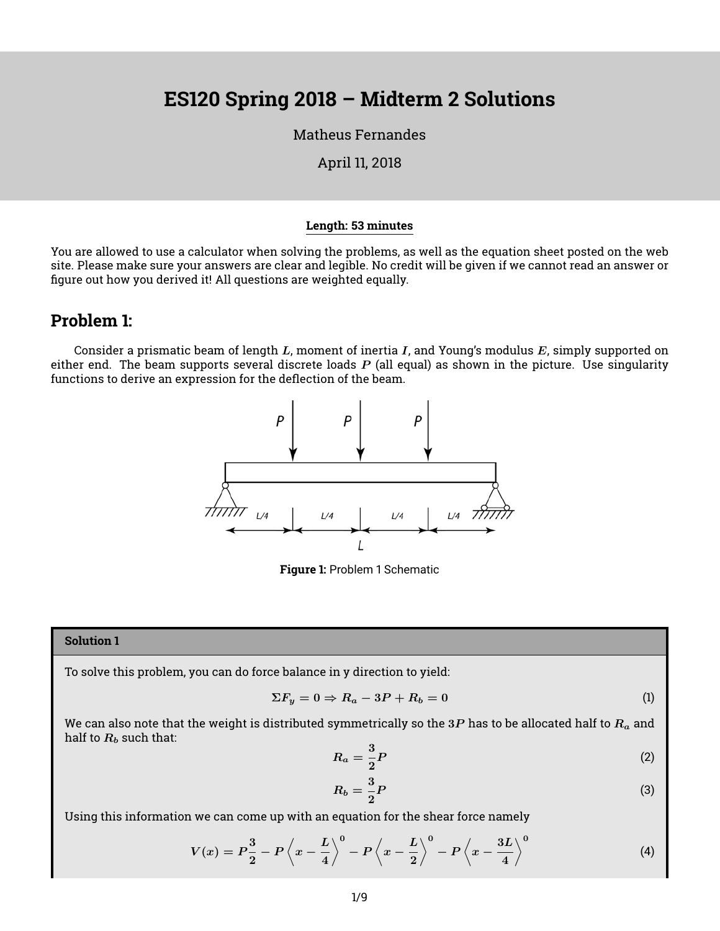# **ES120 Spring 2018 – Midterm 2 Solutions**

#### [Matheus Fernandes](http://fer.me)

April 11, 2018

#### **Length: 53 minutes**

You are allowed to use a calculator when solving the problems, as well as the equation sheet posted on the web site. Please make sure your answers are clear and legible. No credit will be given if we cannot read an answer or figure out how you derived it! All questions are weighted equally.

## **Problem 1:**

Consider a prismatic beam of length  $L$ , moment of inertia  $I$ , and Young's modulus  $E$ , simply supported on either end. The beam supports several discrete loads  $P$  (all equal) as shown in the picture. Use singularity functions to derive an expression for the deflection of the beam.



**Figure 1:** Problem 1 Schematic

#### **Solution 1**

To solve this problem, you can do force balance in y direction to yield:

$$
\Sigma F_y = 0 \Rightarrow R_a - 3P + R_b = 0 \tag{1}
$$

We can also note that the weight is distributed symmetrically so the 3P has to be allocated half to  $R_a$  and half to  $R_b$  such that:

$$
R_a = \frac{3}{2}P \tag{2}
$$

$$
R_b = \frac{3}{2}P\tag{3}
$$

Using this information we can come up with an equation for the shear force namely

$$
V(x) = P\frac{3}{2} - P\left\langle x - \frac{L}{4} \right\rangle^0 - P\left\langle x - \frac{L}{2} \right\rangle^0 - P\left\langle x - \frac{3L}{4} \right\rangle^0 \tag{4}
$$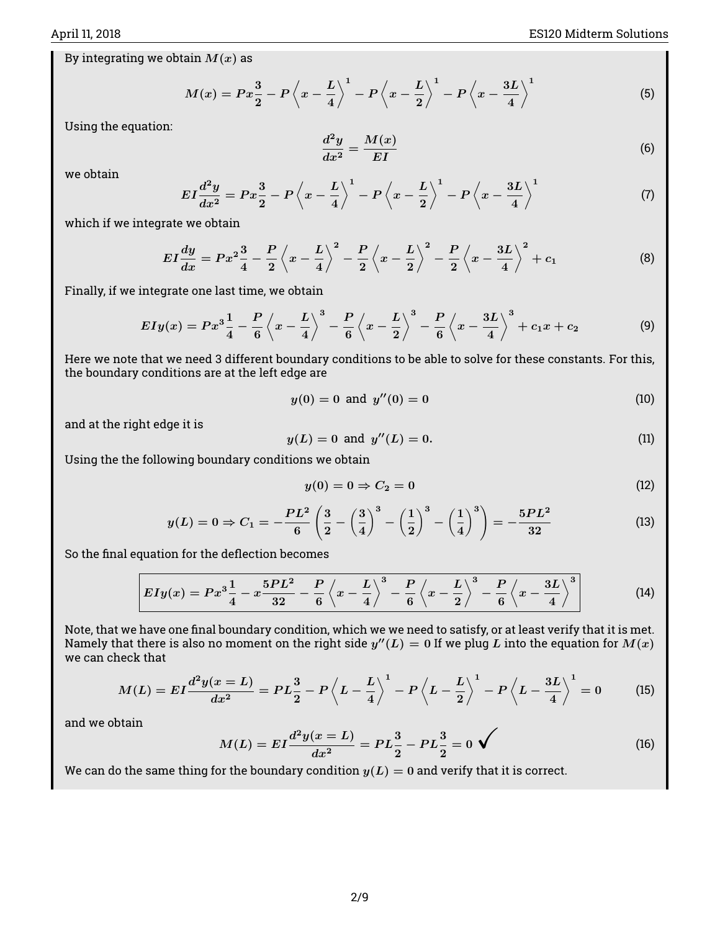By integrating we obtain  $M(x)$  as

$$
M(x) = Px\frac{3}{2} - P\left\langle x - \frac{L}{4} \right\rangle^1 - P\left\langle x - \frac{L}{2} \right\rangle^1 - P\left\langle x - \frac{3L}{4} \right\rangle^1 \tag{5}
$$

Using the equation:

$$
\frac{d^2y}{dx^2} = \frac{M(x)}{EI} \tag{6}
$$

we obtain

$$
EI\frac{d^2y}{dx^2} = Px\frac{3}{2} - P\left\langle x - \frac{L}{4} \right\rangle^1 - P\left\langle x - \frac{L}{2} \right\rangle^1 - P\left\langle x - \frac{3L}{4} \right\rangle^1\tag{7}
$$

which if we integrate we obtain

$$
EI\frac{dy}{dx} = Px^2\frac{3}{4} - \frac{P}{2}\left\langle x - \frac{L}{4} \right\rangle^2 - \frac{P}{2}\left\langle x - \frac{L}{2} \right\rangle^2 - \frac{P}{2}\left\langle x - \frac{3L}{4} \right\rangle^2 + c_1
$$
 (8)

Finally, if we integrate one last time, we obtain

$$
EIy(x) = Px^3 \frac{1}{4} - \frac{P}{6} \left\langle x - \frac{L}{4} \right\rangle^3 - \frac{P}{6} \left\langle x - \frac{L}{2} \right\rangle^3 - \frac{P}{6} \left\langle x - \frac{3L}{4} \right\rangle^3 + c_1 x + c_2 \tag{9}
$$

Here we note that we need 3 different boundary conditions to be able to solve for these constants. For this, the boundary conditions are at the left edge are

$$
y(0) = 0 \text{ and } y''(0) = 0 \tag{10}
$$

and at the right edge it is

$$
y(L) = 0 \text{ and } y''(L) = 0. \tag{11}
$$

Using the the following boundary conditions we obtain

$$
y(0) = 0 \Rightarrow C_2 = 0 \tag{12}
$$

$$
y(L) = 0 \Rightarrow C_1 = -\frac{PL^2}{6} \left( \frac{3}{2} - \left( \frac{3}{4} \right)^3 - \left( \frac{1}{2} \right)^3 - \left( \frac{1}{4} \right)^3 \right) = -\frac{5PL^2}{32}
$$
 (13)

So the final equation for the deflection becomes

$$
EIy(x) = Px^{3}\frac{1}{4} - x\frac{5PL^{2}}{32} - \frac{P}{6}\left\langle x - \frac{L}{4} \right\rangle^{3} - \frac{P}{6}\left\langle x - \frac{L}{2} \right\rangle^{3} - \frac{P}{6}\left\langle x - \frac{3L}{4} \right\rangle^{3}
$$
(14)

Note, that we have one final boundary condition, which we we need to satisfy, or at least verify that it is met. Namely that there is also no moment on the right side  $y''(L) = 0$  If we plug  $L$  into the equation for  $M(x)$ we can check that

$$
M(L) = EI \frac{d^2y(x=L)}{dx^2} = PL\frac{3}{2} - P\left\langle L - \frac{L}{4} \right\rangle^1 - P\left\langle L - \frac{L}{2} \right\rangle^1 - P\left\langle L - \frac{3L}{4} \right\rangle^1 = 0 \tag{15}
$$

and we obtain

$$
M(L) = EI \frac{d^2y(x=L)}{dx^2} = PL\frac{3}{2} - PL\frac{3}{2} = 0 \checkmark
$$
 (16)

We can do the same thing for the boundary condition  $y(L) = 0$  and verify that it is correct.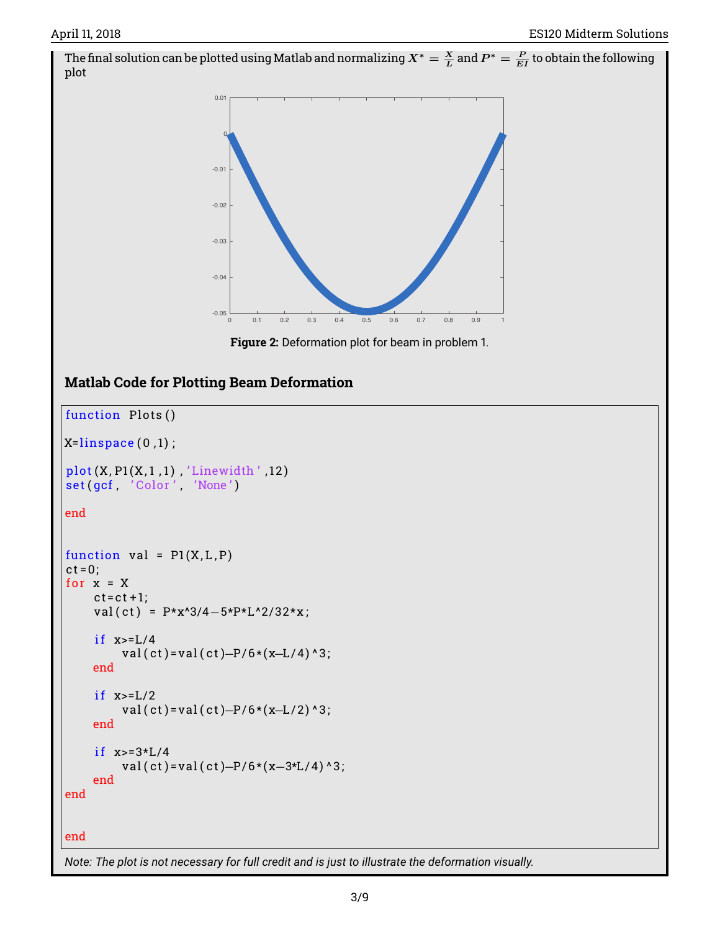April 11, 2018 ES120 Midterm Solutions The final solution can be plotted using Matlab and normalizing  $X^* = \frac{X}{L}$  and  $P^* = \frac{P}{EI}$  to obtain the following plot 0 0.1 0.2 0.3 0.4 0.5 0.6 0.7 0.8 0.9 1 -0.05 -0.04 -0.03 -0.02  $-0.01$ لے 0 0.01 **Figure 2:** Deformation plot for beam in problem 1. **Matlab Code for Plotting Beam Deformation** function Plots ()  $X = linspace(0, 1)$ ; plot (X, P1(X, 1, 1) / Linewidth ', 12) set (gcf, 'Color', 'None') end function val =  $PI(X, L, P)$  $ct = 0$ ; for  $x = X$  $ct = ct + 1$ ; val(ct) =  $P*x^3/4-5*P*L^2/32*x$ ; if  $x>=L/4$  $val(ct) = val(ct) - P/6*(x-L/4)^3;$ end if  $x>=L/2$  $val(ct) = val(ct) - P/6*(x-L/2)^3;$ end

if  $x>=3*L/4$  $val(ct) = val(ct) -P/6*(x-3*L/4)^3;$ end

end

end

*Note: The plot is not necessary for full credit and is just to illustrate the deformation visually.*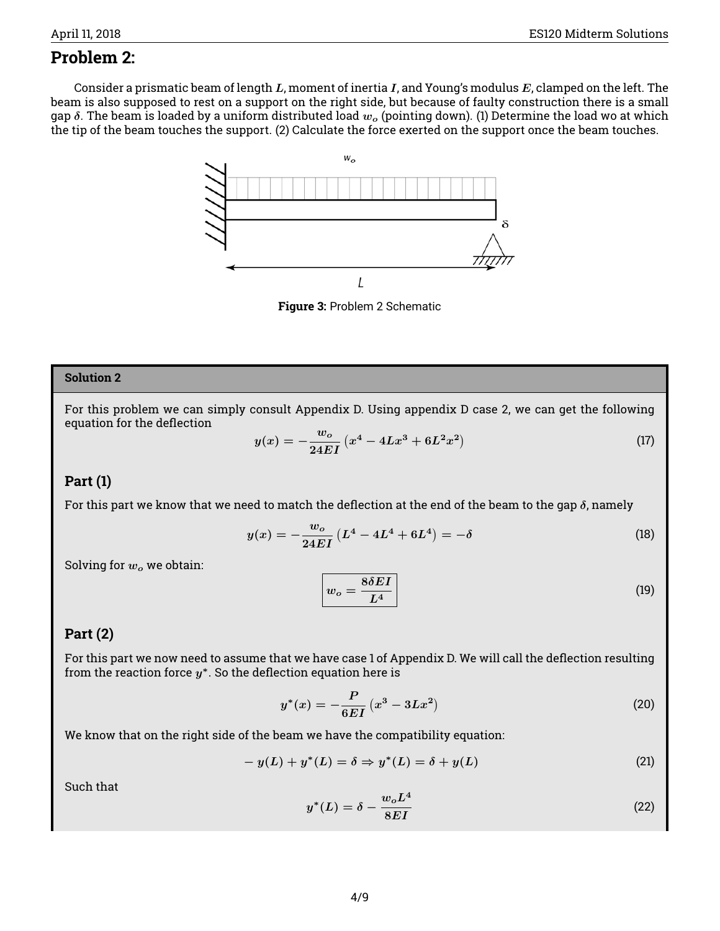## **Problem 2:**

Consider a prismatic beam of length  $L$ , moment of inertia  $I$ , and Young's modulus  $E$ , clamped on the left. The beam is also supposed to rest on a support on the right side, but because of faulty construction there is a small gap  $\delta$ . The beam is loaded by a uniform distributed load  $w_o$  (pointing down). (1) Determine the load wo at which the tip of the beam touches the support. (2) Calculate the force exerted on the support once the beam touches.



**Figure 3:** Problem 2 Schematic

#### **Solution 2**

For this problem we can simply consult Appendix D. Using appendix D case 2, we can get the following equation for the deflection

$$
y(x) = -\frac{w_o}{24EI} (x^4 - 4Lx^3 + 6L^2x^2)
$$
 (17)

### **Part (1)**

For this part we know that we need to match the deflection at the end of the beam to the gap  $\delta$ , namely

$$
y(x) = -\frac{w_o}{24EI} \left( L^4 - 4L^4 + 6L^4 \right) = -\delta \tag{18}
$$

Solving for  $w<sub>o</sub>$  we obtain:

$$
w_o = \frac{8\delta EI}{L^4} \tag{19}
$$

### **Part (2)**

For this part we now need to assume that we have case 1 of Appendix D. We will call the deflection resulting from the reaction force  $y^*$ . So the deflection equation here is

$$
y^*(x) = -\frac{P}{6EI} (x^3 - 3Lx^2)
$$
 (20)

We know that on the right side of the beam we have the compatibility equation:

$$
-y(L) + y^*(L) = \delta \Rightarrow y^*(L) = \delta + y(L) \tag{21}
$$

Such that

$$
y^*(L) = \delta - \frac{w_o L^4}{8EI} \tag{22}
$$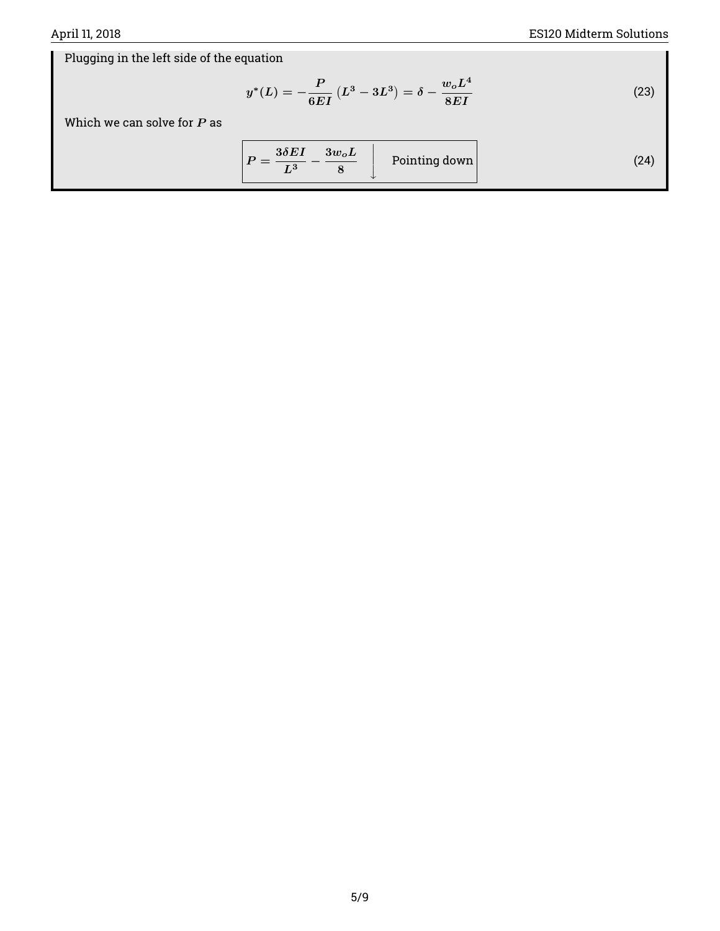Plugging in the left side of the equation

$$
y^*(L) = -\frac{P}{6EI} (L^3 - 3L^3) = \delta - \frac{w_o L^4}{8EI}
$$
 (23)

Which we can solve for  $\boldsymbol{P}$  as

$$
P = \frac{3\delta EI}{L^3} - \frac{3w_o L}{8} \qquad \text{Pointing down} \tag{24}
$$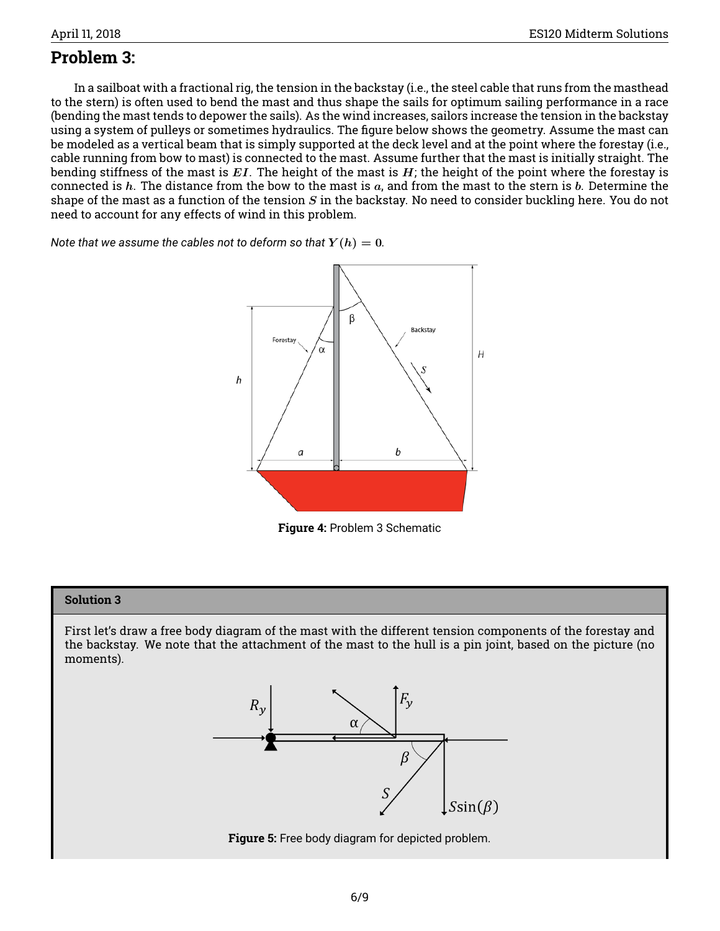## **Problem 3:**

In a sailboat with a fractional rig, the tension in the backstay (i.e., the steel cable that runs from the masthead to the stern) is often used to bend the mast and thus shape the sails for optimum sailing performance in a race (bending the mast tends to depower the sails). As the wind increases, sailors increase the tension in the backstay using a system of pulleys or sometimes hydraulics. The figure below shows the geometry. Assume the mast can be modeled as a vertical beam that is simply supported at the deck level and at the point where the forestay (i.e., cable running from bow to mast) is connected to the mast. Assume further that the mast is initially straight. The bending stiffness of the mast is  $EI$ . The height of the mast is  $H$ ; the height of the point where the forestay is connected is  $h$ . The distance from the bow to the mast is  $a$ , and from the mast to the stern is  $b$ . Determine the shape of the mast as a function of the tension  $S$  in the backstay. No need to consider buckling here. You do not need to account for any effects of wind in this problem.

*Note that we assume the cables not to deform so that*  $Y(h) = 0$ *.* 



**Figure 4:** Problem 3 Schematic

#### **Solution 3**

First let's draw a free body diagram of the mast with the different tension components of the forestay and the backstay. We note that the attachment of the mast to the hull is a pin joint, based on the picture (no moments).



**Figure 5:** Free body diagram for depicted problem.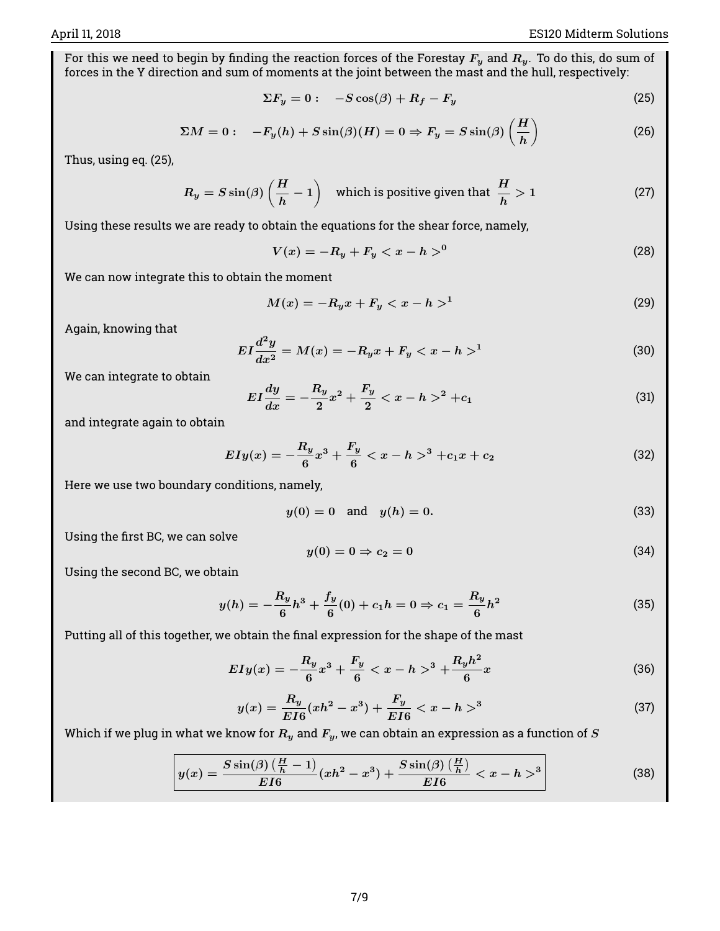For this we need to begin by finding the reaction forces of the Forestay  $F_y$  and  $R_y$ . To do this, do sum of forces in the Y direction and sum of moments at the joint between the mast and the hull, respectively:

<span id="page-6-0"></span>
$$
\Sigma F_y = 0: \quad -S\cos(\beta) + R_f - F_y \tag{25}
$$

$$
\Sigma M = 0: \quad -F_y(h) + S\sin(\beta)(H) = 0 \Rightarrow F_y = S\sin(\beta)\left(\frac{H}{h}\right) \tag{26}
$$

Thus, using [eq. \(25\),](#page-6-0)

$$
R_y = S \sin(\beta) \left(\frac{H}{h} - 1\right) \quad \text{which is positive given that } \frac{H}{h} > 1 \tag{27}
$$

Using these results we are ready to obtain the equations for the shear force, namely,

$$
V(x) = -R_y + F_y < x - h >^0 \tag{28}
$$

We can now integrate this to obtain the moment

$$
M(x) = -R_y x + F_y < x - h >^1
$$
 (29)

Again, knowing that

$$
EI\frac{d^2y}{dx^2} = M(x) = -R_yx + F_y < x - h >^1 \tag{30}
$$

We can integrate to obtain

$$
EI\frac{dy}{dx} = -\frac{R_y}{2}x^2 + \frac{F_y}{2} < x - h >^2 + c_1 \tag{31}
$$

and integrate again to obtain

$$
EIy(x) = -\frac{R_y}{6}x^3 + \frac{F_y}{6} < x - h >^3 + c_1x + c_2 \tag{32}
$$

Here we use two boundary conditions, namely,

$$
y(0) = 0 \text{ and } y(h) = 0. \tag{33}
$$

Using the first BC, we can solve

$$
y(0) = 0 \Rightarrow c_2 = 0 \tag{34}
$$

Using the second BC, we obtain

$$
y(h) = -\frac{R_y}{6}h^3 + \frac{f_y}{6}(0) + c_1h = 0 \Rightarrow c_1 = \frac{R_y}{6}h^2
$$
\n(35)

Putting all of this together, we obtain the final expression for the shape of the mast

$$
EIy(x) = -\frac{R_y}{6}x^3 + \frac{F_y}{6} < x - h >^3 + \frac{R_y h^2}{6}x \tag{36}
$$

$$
y(x) = \frac{R_y}{EI6}(xh^2 - x^3) + \frac{F_y}{EI6} < x - h >^3 \tag{37}
$$

Which if we plug in what we know for  $R_y$  and  $F_y$ , we can obtain an expression as a function of S

$$
y(x) = \frac{S\sin(\beta)\left(\frac{H}{h} - 1\right)}{EI6}(xh^2 - x^3) + \frac{S\sin(\beta)\left(\frac{H}{h}\right)}{EI6} < x - h >^3
$$
 (38)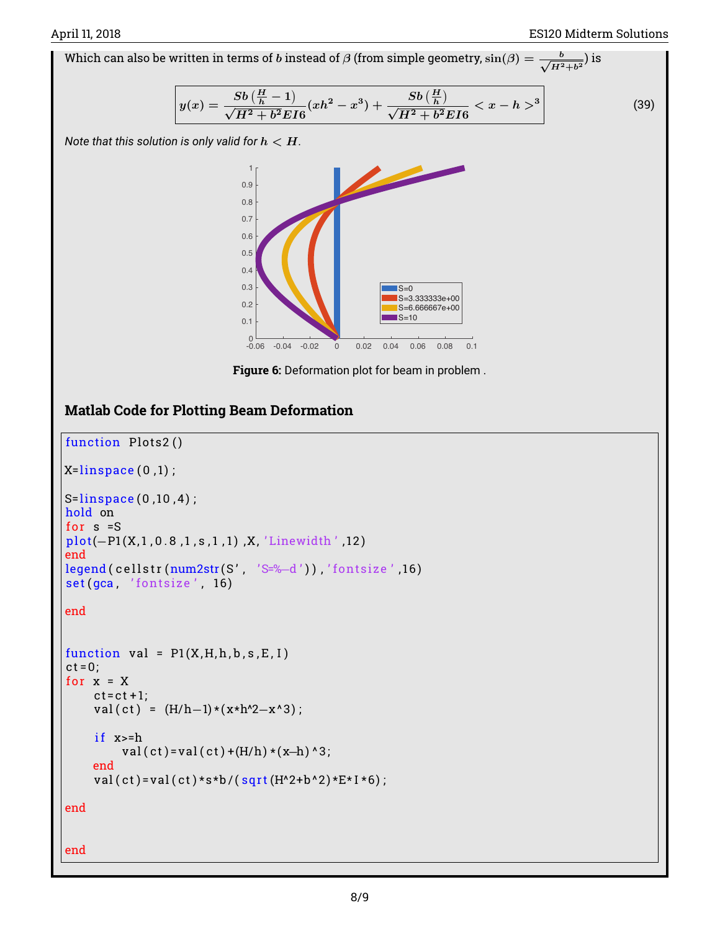April 11, 2018 ES120 Midterm Solutions Which can also be written in terms of b instead of β (from simple geometry, sin(β) = √ b H2+b<sup>2</sup> ) is y(x) = Sb <sup>H</sup> <sup>h</sup> − 1 √ H<sup>2</sup> + b <sup>2</sup>EI6 (xh<sup>2</sup> − x 3 ) + Sb <sup>H</sup> h √ H<sup>2</sup> + b <sup>2</sup>EI6 < x − h ><sup>3</sup> (39) *Note that this solution is only valid for* h < H*.* -0.06 -0.04 -0.02 0 0.02 0.04 0.06 0.08 0.1 0 0.1 0.2 0.3 0.4 0.5 0.6 0.7 0.8 0.9 1 S=0 S=3.333333e+00 S=6.666667e+00 S=10 **Figure 6:** Deformation plot for beam in problem . **Matlab Code for Plotting Beam Deformation** funct ion P lo ts2 ( ) X=l inspace ( 0 , 1 ) ; S=l inspace ( 0 , 1 0 , 4 ) ; hold on f o r s =S p lo t(−P1 (X, 1 , 0 . 8 , 1 , s , 1 , 1 ) ,X, ' Linewidth ' , 1 2 ) end legend ( c e l l s t r (num2str (S ' , 'S=%−d ' ) ) , ' fon t s i z e ' , 1 6 ) se t ( gca , ' fon t s i ze ' , 1 6 ) end

```
function val = PI(X,H,h,b,s,E,I)ct = 0;
for x = Xct = ct + 1;
    val(ct) = (H/h-1)*(x*h^2-x^3);if x>=hval(ct) = val(ct) + (H/h) * (x-h) * 3;end
    val(ct) = val(ct) *s *b / (sqrt(H^2+b^2) *E * I *6) ;end
```
end